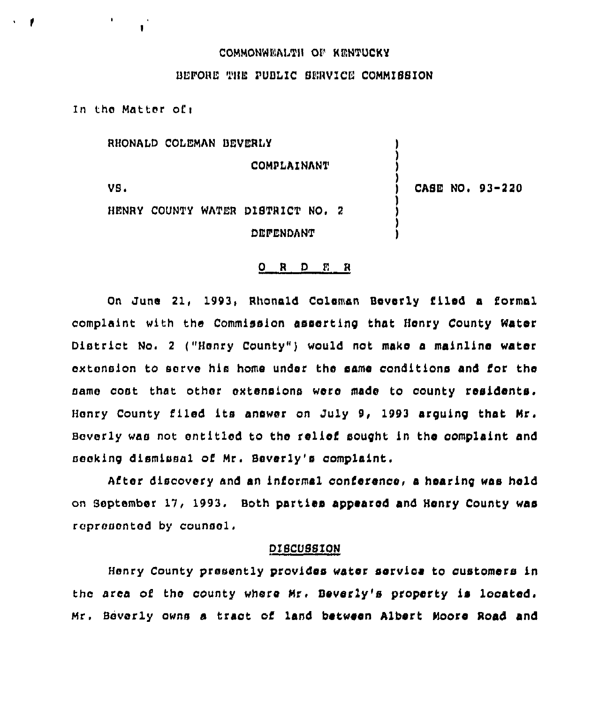## COMMONWEALTH OP RENTUCKY

## ULPORL" THE PUBLIC SERVICE COMMISSION

In the Matter ofi

RHONALD COLEMAN BEVERLY

COMPLAINANT

 $VS<sub>1</sub>$ 

CASE NO. 93-220

HENRY COUNTY WATER DISTRICT NO, 2 DEFENDANT

#### ORDER

On June 21, 1993, Rhonald Coleman Beverly filed a formal complaint with the Commission asserting that Henry County Water District No. 2 ("Henry County") would not make a mainline water cxtansion to sorve his home under the same conditions and for the name cost that other extensions were made to county residents. Henry county filed its answer on July 9, 1993 arguing that Mr. Beverly was not entitled to the relief sought in the complaint and nanking dismissal of Mr. Sever'ly's complaint.

After discovery and an informal conierence, a hearing waa held on September 17, 1993, Beth parties appeared and Henry County wae rcpronontod by counsel.

### DISCUSSION

Henry County presently provides water service to customers in the area of the county where Mr, Beverly's property ie located. Mr. Beverly owns a tract of land between Albert Moore Road and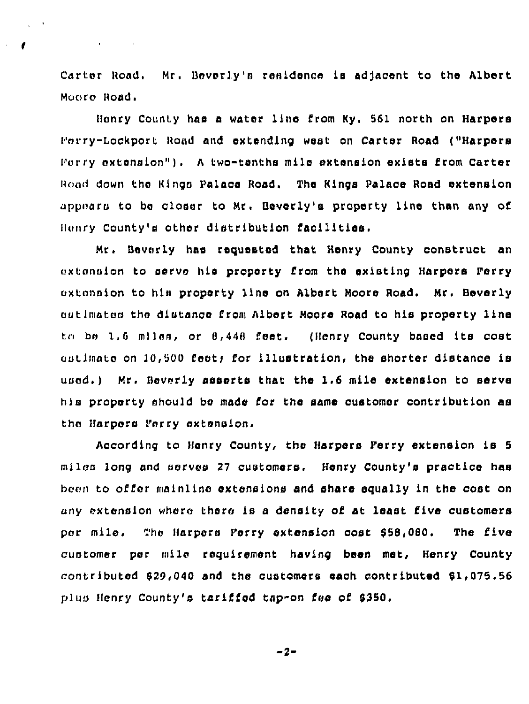Carter Road. Mr. Beverly's residence is adjacent to the Albert Moore Road.

 $\Delta\phi$  and  $\phi$  and  $\phi$ 

Henry County has a water line from Ky, 561 north on Harpers F»rry-Lcckpcrt Road and oxtonding west on Carter Road ("Harpors Forry extension"). A two-tenths mile extension exists from Carter Road down the Kings Palace Road. The Kings Palace Road extension appnaru tc be closer to Mr. Bovorly's property line than any of Henry County's other distribution facilities.

Mr. Bovorly has requested that Honry County construct an extension to serve his property from the existing Harpers Perry oxtonsion to his property line on Albert Moore Road. Mr. Beverly outimates the distance from Albert Moore Road to his property line to be 1.6 miles, or 8,448 feet. (Henry County based its cost outimate on 10,500 feet; for illustration, the shorter distance is uped.) Mr. Beverly asserts that the 1.6 mile extension to serve his property should be made for the same customer contribution as the Harpers Ferry extension.

According to Henry County, the Harpers Perry extension is 5 miles long and serves 27 customers. Henry County's practice has been to offer mainline extensions and share equally in the cost on any extension where there is a density of at least five customers per mile. The Harpers Porry extension cost 858,080. The five customer per mile requirement having been met, Henry County contributed 829,040 and the customers each contributed 81,075.56 plus Henry County's tariffed tap-on fee of 6350.

 $-2-$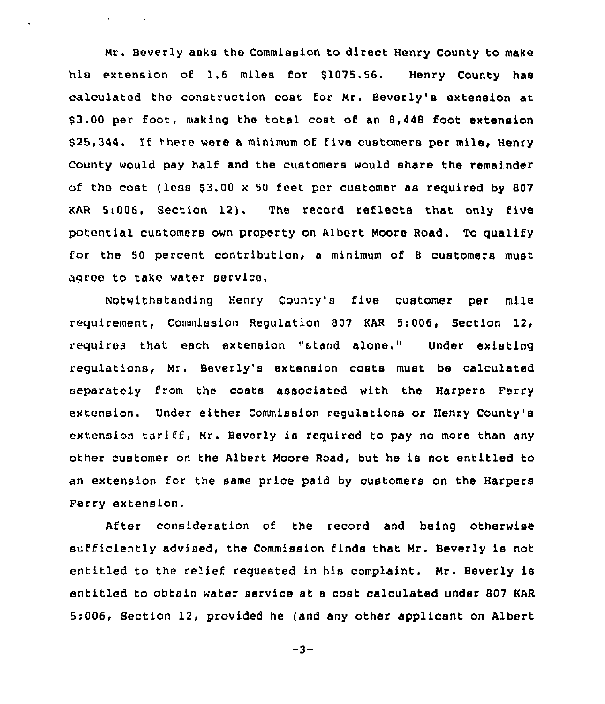Mr, Beverly asks the Commission to direct Henry County to make his extension of 1.6 miles for \$1075.56. Henry County has calculated the construction cost for Mr. Beverly's extension at \$3.00 per foot, making the total cost of an 8,448 foot extension \$25,344. If there were a minimum of five customers per mile, Henry County would pay half and the customers would share the remainder of the cost (less  $$3.00 \times 50$  feet per customer as required by 807 KAR 5i006, Section 12). The record reflects that only five potential customers own property on Albert Moore Road. To qualify for the 50 percent contribution, a minimum of <sup>8</sup> customers must agree to take water service.

**Contractor** 

 $\ddot{\phantom{0}}$ 

Notwithstanding Henry County's five customer per mile requirement, Commission Regulation 807 KAR 5:006, Section 12, requires that each extension "stand alone," Under existing regulations, Mr. Beverly's extension costs must be calculated separately from the costs associated with the Harpers Ferry extension. Under either Commission regulations or Henry County's extension tariff, Mr. Beverly is required to pay no more than any other customer on the Albert Moore Road, but he is not entitled to an extension for the same price paid by customers on the Harpers Ferry extension.

After consideration of the record and being otherwise sufficiently advised, the Commission finds that Mr. Beverly is not entitled to the relief requested in his complaint. Mr. Beverly is entitled to obtain water service at <sup>a</sup> cost calculated under 807 KAR 5:006, Section 12, provided he (and any other applicant on Albert

 $-3-$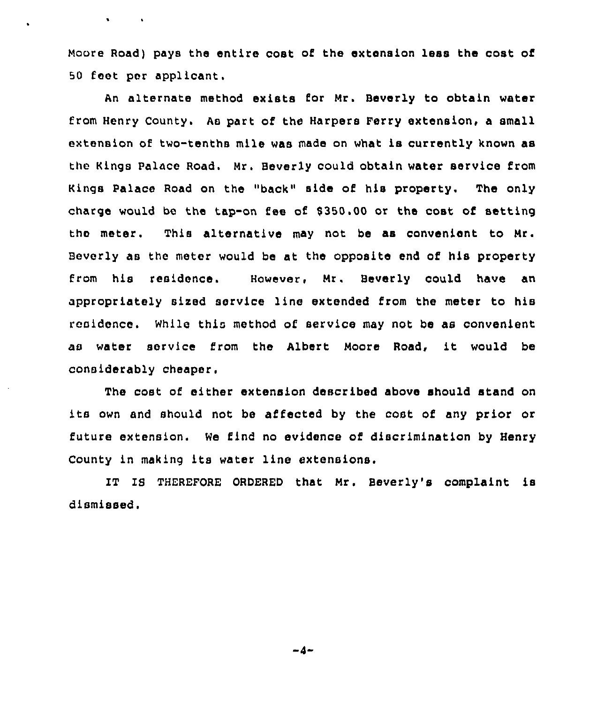Moore Road) pays the entire cost of the extension less the cost of 50 feet per applicant.

An alternate method exists for Mr. Beverly to obtain water from Henry County. As part of the Harpers Ferry extension, a small extension of two-tenths mile was made on what is currently known as the Kings Palace Road. Mr. Beverly could obtain water service from Kings Palace Road on the "back" side of his property. The only charge would be the tap-on fee of 9350.00 or the cost of setting the meter. This alternative may not be as convenient to Nr. Beverly as the meter would be at the opposite end of his property from his residence. However, Nr. Beverly could have an appropriately sized service line extended from the meter to his residence. While this method of service may not be as convenient as water service from the Albert Moore Road, it would be considerably cheaper.

The cost of either extension described above should stand on its own and should not be affected by the cost of any prior or future extension. We find no evidence of discrimination by Henry County in making its water line extensions.

IT IS THEREFORE ORDERED that Mr. Beverly's complaint is dismissed.

 $-4-$